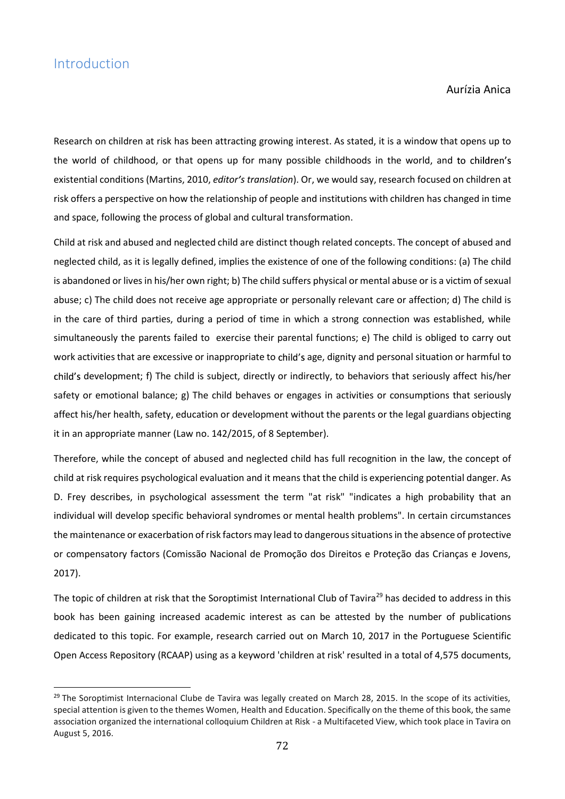## Introduction

<u>.</u>

Aurízia Anica

Research on children at risk has been attracting growing interest. As stated, it is a window that opens up to the world of childhood, or that opens up for many possible childhoods in the world, and to children's existential conditions (Martins, 2010, editor's translation). Or, we would say, research focused on children at risk offers a perspective on how the relationship of people and institutions with children has changed in time and space, following the process of global and cultural transformation.

Child at risk and abused and neglected child are distinct though related concepts. The concept of abused and neglected child, as it is legally defined, implies the existence of one of the following conditions: (a) The child is abandoned or lives in his/her own right; b) The child suffers physical or mental abuse or is a victim of sexual abuse; c) The child does not receive age appropriate or personally relevant care or affection; d) The child is in the care of third parties, during a period of time in which a strong connection was established, while simultaneously the parents failed to exercise their parental functions; e) The child is obliged to carry out work activities that are excessive or inappropriate to child's age, dignity and personal situation or harmful to child's development; f) The child is subject, directly or indirectly, to behaviors that seriously affect his/her safety or emotional balance; g) The child behaves or engages in activities or consumptions that seriously affect his/her health, safety, education or development without the parents or the legal guardians objecting it in an appropriate manner (Law no. 142/2015, of 8 September).

Therefore, while the concept of abused and neglected child has full recognition in the law, the concept of child at risk requires psychological evaluation and it means that the child is experiencing potential danger. As D. Frey describes, in psychological assessment the term "at risk" "indicates a high probability that an individual will develop specific behavioral syndromes or mental health problems". In certain circumstances the maintenance or exacerbation of risk factors may lead to dangerous situations in the absence of protective or compensatory factors (Comissão Nacional de Promoção dos Direitos e Proteção das Crianças e Jovens, 2017).

The topic of children at risk that the Soroptimist International Club of Tavira<sup>29</sup> has decided to address in this book has been gaining increased academic interest as can be attested by the number of publications dedicated to this topic. For example, research carried out on March 10, 2017 in the Portuguese Scientific Open Access Repository (RCAAP) using as a keyword 'children at risk' resulted in a total of 4,575 documents,

<sup>&</sup>lt;sup>29</sup> The Soroptimist Internacional Clube de Tavira was legally created on March 28, 2015. In the scope of its activities, special attention is given to the themes Women, Health and Education. Specifically on the theme of this book, the same association organized the international colloquium Children at Risk - a Multifaceted View, which took place in Tavira on August 5, 2016.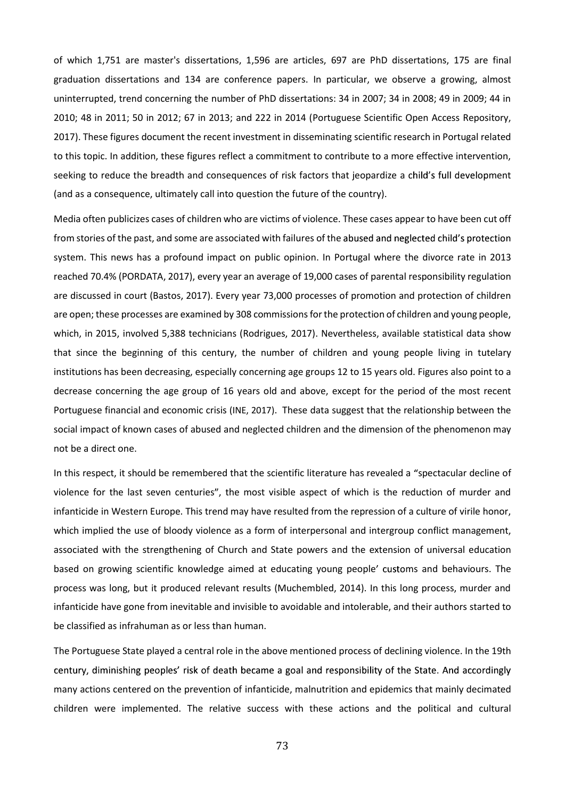of which 1,751 are master's dissertations, 1,596 are articles, 697 are PhD dissertations, 175 are final graduation dissertations and 134 are conference papers. In particular, we observe a growing, almost uninterrupted, trend concerning the number of PhD dissertations: 34 in 2007; 34 in 2008; 49 in 2009; 44 in 2010; 48 in 2011; 50 in 2012; 67 in 2013; and 222 in 2014 (Portuguese Scientific Open Access Repository, 2017). These figures document the recent investment in disseminating scientific research in Portugal related to this topic. In addition, these figures reflect a commitment to contribute to a more effective intervention, seeking to reduce the breadth and consequences of risk factors that jeopardize a child's full development (and as a consequence, ultimately call into question the future of the country).

Media often publicizes cases of children who are victims of violence. These cases appear to have been cut off from stories of the past, and some are associated with failures of the abused and neglected child's protection system. This news has a profound impact on public opinion. In Portugal where the divorce rate in 2013 reached 70.4% (PORDATA, 2017), every year an average of 19,000 cases of parental responsibility regulation are discussed in court (Bastos, 2017). Every year 73,000 processes of promotion and protection of children are open; these processes are examined by 308 commissions for the protection of children and young people, which, in 2015, involved 5,388 technicians (Rodrigues, 2017). Nevertheless, available statistical data show that since the beginning of this century, the number of children and young people living in tutelary institutions has been decreasing, especially concerning age groups 12 to 15 years old. Figures also point to a decrease concerning the age group of 16 years old and above, except for the period of the most recent Portuguese financial and economic crisis (INE, 2017). These data suggest that the relationship between the social impact of known cases of abused and neglected children and the dimension of the phenomenon may not be a direct one.

In this respect, it should be remembered that the scientific literature has revealed a "spectacular decline of violence for the last seven centuries", the most visible aspect of which is the reduction of murder and infanticide in Western Europe. This trend may have resulted from the repression of a culture of virile honor, which implied the use of bloody violence as a form of interpersonal and intergroup conflict management, associated with the strengthening of Church and State powers and the extension of universal education based on growing scientific knowledge aimed at educating young people' customs and behaviours. The process was long, but it produced relevant results (Muchembled, 2014). In this long process, murder and infanticide have gone from inevitable and invisible to avoidable and intolerable, and their authors started to be classified as infrahuman as or less than human.

The Portuguese State played a central role in the above mentioned process of declining violence. In the 19th century, diminishing peoples' risk of death became a goal and responsibility of the State. And accordingly many actions centered on the prevention of infanticide, malnutrition and epidemics that mainly decimated children were implemented. The relative success with these actions and the political and cultural

73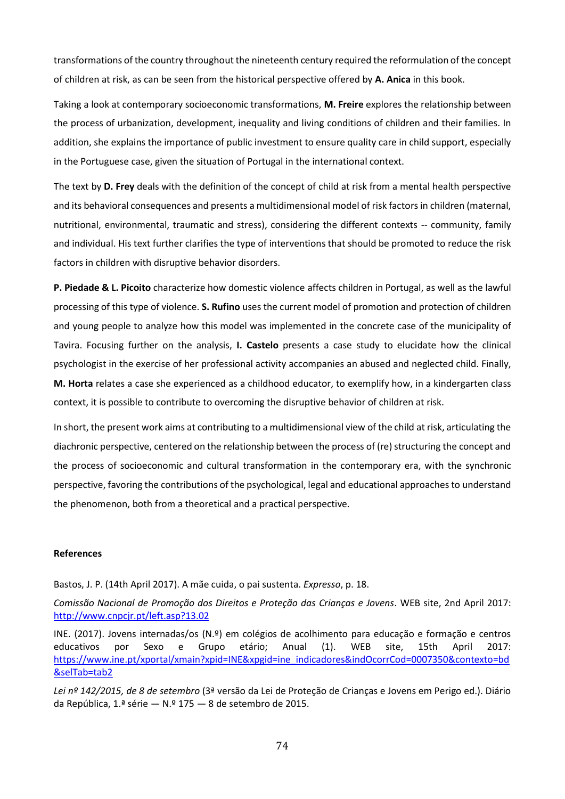transformations of the country throughout the nineteenth century required the reformulation of the concept of children at risk, as can be seen from the historical perspective offered by A. Anica in this book.

Taking a look at contemporary socioeconomic transformations, M. Freire explores the relationship between the process of urbanization, development, inequality and living conditions of children and their families. In addition, she explains the importance of public investment to ensure quality care in child support, especially in the Portuguese case, given the situation of Portugal in the international context.

The text by D. Frey deals with the definition of the concept of child at risk from a mental health perspective and its behavioral consequences and presents a multidimensional model of risk factors in children (maternal, nutritional, environmental, traumatic and stress), considering the different contexts -- community, family and individual. His text further clarifies the type of interventions that should be promoted to reduce the risk factors in children with disruptive behavior disorders.

P. Piedade & L. Picoito characterize how domestic violence affects children in Portugal, as well as the lawful processing of this type of violence. S. Rufino uses the current model of promotion and protection of children and young people to analyze how this model was implemented in the concrete case of the municipality of Tavira. Focusing further on the analysis, **I. Castelo** presents a case study to elucidate how the clinical psychologist in the exercise of her professional activity accompanies an abused and neglected child. Finally, M. Horta relates a case she experienced as a childhood educator, to exemplify how, in a kindergarten class context, it is possible to contribute to overcoming the disruptive behavior of children at risk.

In short, the present work aims at contributing to a multidimensional view of the child at risk, articulating the diachronic perspective, centered on the relationship between the process of (re) structuring the concept and the process of socioeconomic and cultural transformation in the contemporary era, with the synchronic perspective, favoring the contributions of the psychological, legal and educational approaches to understand the phenomenon, both from a theoretical and a practical perspective.

## References

Bastos, J. P. (14th April 2017). A mãe cuida, o pai sustenta. Expresso, p. 18.

Comissão Nacional de Promoção dos Direitos e Proteção das Crianças e Jovens. WEB site, 2nd April 2017: http://www.cnpcjr.pt/left.asp?13.02

INE. (2017). Jovens internadas/os (N.º) em colégios de acolhimento para educação e formação e centros educativos por Sexo e Grupo etário; Anual (1). WEB site, 15th April 2017: https://www.ine.pt/xportal/xmain?xpid=INE&xpgid=ine\_indicadores&indOcorrCod=0007350&contexto=bd &selTab=tab2

Lei nº 142/2015, de 8 de setembro (3ª versão da Lei de Proteção de Crianças e Jovens em Perigo ed.). Diário da República, 1.ª série  $- N.$ º 175  $- 8$  de setembro de 2015.